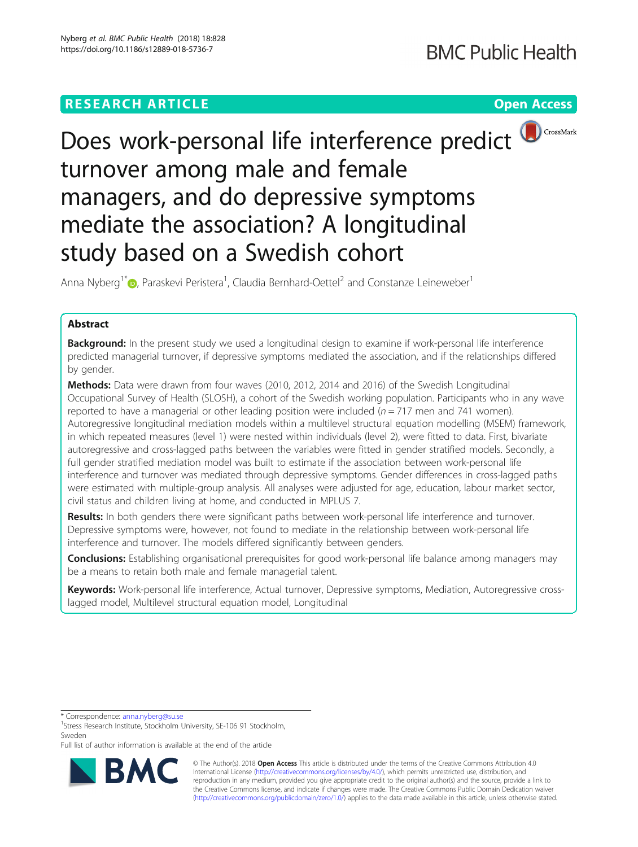

# Does work-personal life interference predict turnover among male and female managers, and do depressive symptoms mediate the association? A longitudinal study based on a Swedish cohort

Anna Nyberg<sup>1\*</sup> <sub>(b</sub>[,](http://orcid.org/0000-0003-3578-5824) Paraskevi Peristera<sup>1</sup>, Claudia Bernhard-Oettel<sup>2</sup> and Constanze Leineweber<sup>1</sup>

## Abstract

**Background:** In the present study we used a longitudinal design to examine if work-personal life interference predicted managerial turnover, if depressive symptoms mediated the association, and if the relationships differed by gender.

Methods: Data were drawn from four waves (2010, 2012, 2014 and 2016) of the Swedish Longitudinal Occupational Survey of Health (SLOSH), a cohort of the Swedish working population. Participants who in any wave reported to have a managerial or other leading position were included ( $n = 717$  men and 741 women). Autoregressive longitudinal mediation models within a multilevel structural equation modelling (MSEM) framework, in which repeated measures (level 1) were nested within individuals (level 2), were fitted to data. First, bivariate autoregressive and cross-lagged paths between the variables were fitted in gender stratified models. Secondly, a full gender stratified mediation model was built to estimate if the association between work-personal life interference and turnover was mediated through depressive symptoms. Gender differences in cross-lagged paths were estimated with multiple-group analysis. All analyses were adjusted for age, education, labour market sector, civil status and children living at home, and conducted in MPLUS 7.

Results: In both genders there were significant paths between work-personal life interference and turnover. Depressive symptoms were, however, not found to mediate in the relationship between work-personal life interference and turnover. The models differed significantly between genders.

**Conclusions:** Establishing organisational prerequisites for good work-personal life balance among managers may be a means to retain both male and female managerial talent.

Keywords: Work-personal life interference, Actual turnover, Depressive symptoms, Mediation, Autoregressive crosslagged model, Multilevel structural equation model, Longitudinal

\* Correspondence: [anna.nyberg@su.se](mailto:anna.nyberg@su.se) <sup>1</sup>

Full list of author information is available at the end of the article



© The Author(s). 2018 Open Access This article is distributed under the terms of the Creative Commons Attribution 4.0 International License [\(http://creativecommons.org/licenses/by/4.0/](http://creativecommons.org/licenses/by/4.0/)), which permits unrestricted use, distribution, and reproduction in any medium, provided you give appropriate credit to the original author(s) and the source, provide a link to the Creative Commons license, and indicate if changes were made. The Creative Commons Public Domain Dedication waiver [\(http://creativecommons.org/publicdomain/zero/1.0/](http://creativecommons.org/publicdomain/zero/1.0/)) applies to the data made available in this article, unless otherwise stated.

<sup>&</sup>lt;sup>1</sup>Stress Research Institute, Stockholm University, SE-106 91 Stockholm, Sweden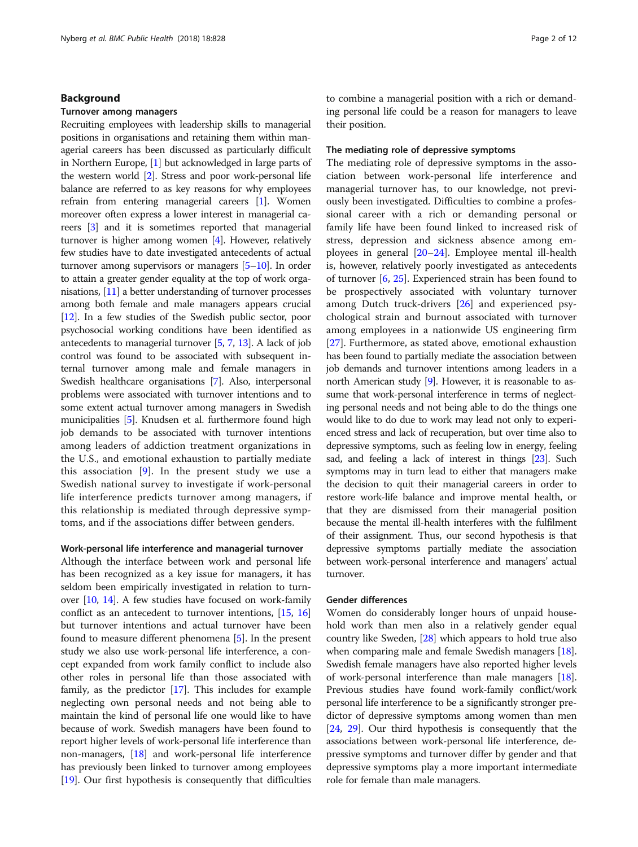## Background

## Turnover among managers

Recruiting employees with leadership skills to managerial positions in organisations and retaining them within managerial careers has been discussed as particularly difficult in Northern Europe, [\[1\]](#page-10-0) but acknowledged in large parts of the western world [\[2\]](#page-10-0). Stress and poor work-personal life balance are referred to as key reasons for why employees refrain from entering managerial careers [[1](#page-10-0)]. Women moreover often express a lower interest in managerial careers [\[3](#page-10-0)] and it is sometimes reported that managerial turnover is higher among women [[4\]](#page-10-0). However, relatively few studies have to date investigated antecedents of actual turnover among supervisors or managers [[5](#page-10-0)–[10\]](#page-10-0). In order to attain a greater gender equality at the top of work organisations, [\[11\]](#page-10-0) a better understanding of turnover processes among both female and male managers appears crucial [[12](#page-10-0)]. In a few studies of the Swedish public sector, poor psychosocial working conditions have been identified as antecedents to managerial turnover [\[5,](#page-10-0) [7](#page-10-0), [13\]](#page-10-0). A lack of job control was found to be associated with subsequent internal turnover among male and female managers in Swedish healthcare organisations [\[7\]](#page-10-0). Also, interpersonal problems were associated with turnover intentions and to some extent actual turnover among managers in Swedish municipalities [\[5](#page-10-0)]. Knudsen et al. furthermore found high job demands to be associated with turnover intentions among leaders of addiction treatment organizations in the U.S., and emotional exhaustion to partially mediate this association  $[9]$  $[9]$ . In the present study we use a Swedish national survey to investigate if work-personal life interference predicts turnover among managers, if this relationship is mediated through depressive symptoms, and if the associations differ between genders.

## Work-personal life interference and managerial turnover

Although the interface between work and personal life has been recognized as a key issue for managers, it has seldom been empirically investigated in relation to turnover [[10](#page-10-0), [14\]](#page-10-0). A few studies have focused on work-family conflict as an antecedent to turnover intentions, [\[15,](#page-10-0) [16](#page-10-0)] but turnover intentions and actual turnover have been found to measure different phenomena [[5\]](#page-10-0). In the present study we also use work-personal life interference, a concept expanded from work family conflict to include also other roles in personal life than those associated with family, as the predictor [\[17\]](#page-10-0). This includes for example neglecting own personal needs and not being able to maintain the kind of personal life one would like to have because of work. Swedish managers have been found to report higher levels of work-personal life interference than non-managers, [[18](#page-10-0)] and work-personal life interference has previously been linked to turnover among employees [[19](#page-11-0)]. Our first hypothesis is consequently that difficulties to combine a managerial position with a rich or demanding personal life could be a reason for managers to leave their position.

## The mediating role of depressive symptoms

The mediating role of depressive symptoms in the association between work-personal life interference and managerial turnover has, to our knowledge, not previously been investigated. Difficulties to combine a professional career with a rich or demanding personal or family life have been found linked to increased risk of stress, depression and sickness absence among employees in general [\[20](#page-11-0)–[24\]](#page-11-0). Employee mental ill-health is, however, relatively poorly investigated as antecedents of turnover  $[6, 25]$  $[6, 25]$  $[6, 25]$  $[6, 25]$ . Experienced strain has been found to be prospectively associated with voluntary turnover among Dutch truck-drivers [\[26](#page-11-0)] and experienced psychological strain and burnout associated with turnover among employees in a nationwide US engineering firm [[27\]](#page-11-0). Furthermore, as stated above, emotional exhaustion has been found to partially mediate the association between job demands and turnover intentions among leaders in a north American study [\[9\]](#page-10-0). However, it is reasonable to assume that work-personal interference in terms of neglecting personal needs and not being able to do the things one would like to do due to work may lead not only to experienced stress and lack of recuperation, but over time also to depressive symptoms, such as feeling low in energy, feeling sad, and feeling a lack of interest in things [\[23\]](#page-11-0). Such symptoms may in turn lead to either that managers make the decision to quit their managerial careers in order to restore work-life balance and improve mental health, or that they are dismissed from their managerial position because the mental ill-health interferes with the fulfilment of their assignment. Thus, our second hypothesis is that depressive symptoms partially mediate the association between work-personal interference and managers' actual turnover.

## Gender differences

Women do considerably longer hours of unpaid household work than men also in a relatively gender equal country like Sweden, [\[28\]](#page-11-0) which appears to hold true also when comparing male and female Swedish managers [[18](#page-10-0)]. Swedish female managers have also reported higher levels of work-personal interference than male managers [[18](#page-10-0)]. Previous studies have found work-family conflict/work personal life interference to be a significantly stronger predictor of depressive symptoms among women than men [[24](#page-11-0), [29](#page-11-0)]. Our third hypothesis is consequently that the associations between work-personal life interference, depressive symptoms and turnover differ by gender and that depressive symptoms play a more important intermediate role for female than male managers.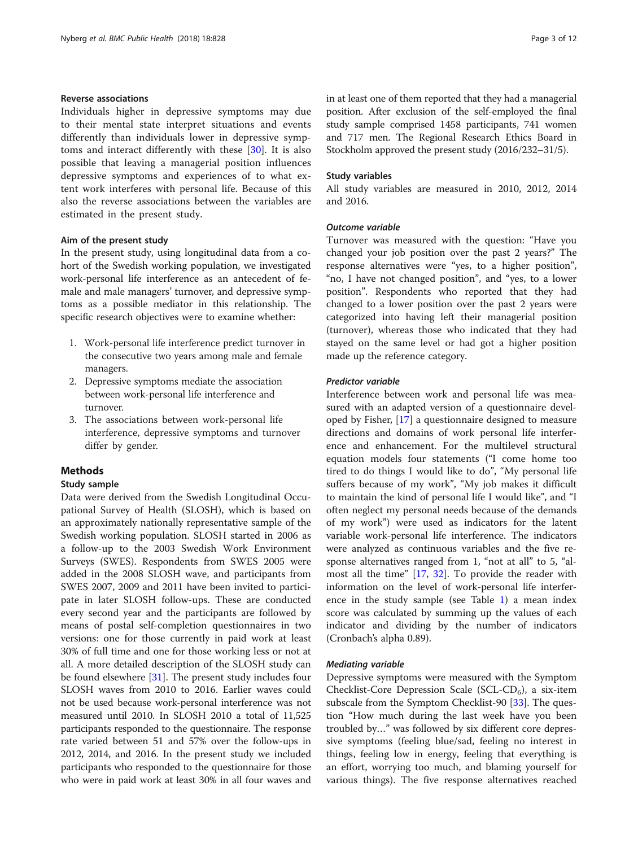## Reverse associations

Individuals higher in depressive symptoms may due to their mental state interpret situations and events differently than individuals lower in depressive symptoms and interact differently with these [[30\]](#page-11-0). It is also possible that leaving a managerial position influences depressive symptoms and experiences of to what extent work interferes with personal life. Because of this also the reverse associations between the variables are estimated in the present study.

## Aim of the present study

In the present study, using longitudinal data from a cohort of the Swedish working population, we investigated work-personal life interference as an antecedent of female and male managers' turnover, and depressive symptoms as a possible mediator in this relationship. The specific research objectives were to examine whether:

- 1. Work-personal life interference predict turnover in the consecutive two years among male and female managers.
- 2. Depressive symptoms mediate the association between work-personal life interference and turnover.
- 3. The associations between work-personal life interference, depressive symptoms and turnover differ by gender.

## Methods

## Study sample

Data were derived from the Swedish Longitudinal Occupational Survey of Health (SLOSH), which is based on an approximately nationally representative sample of the Swedish working population. SLOSH started in 2006 as a follow-up to the 2003 Swedish Work Environment Surveys (SWES). Respondents from SWES 2005 were added in the 2008 SLOSH wave, and participants from SWES 2007, 2009 and 2011 have been invited to participate in later SLOSH follow-ups. These are conducted every second year and the participants are followed by means of postal self-completion questionnaires in two versions: one for those currently in paid work at least 30% of full time and one for those working less or not at all. A more detailed description of the SLOSH study can be found elsewhere [[31\]](#page-11-0). The present study includes four SLOSH waves from 2010 to 2016. Earlier waves could not be used because work-personal interference was not measured until 2010. In SLOSH 2010 a total of 11,525 participants responded to the questionnaire. The response rate varied between 51 and 57% over the follow-ups in 2012, 2014, and 2016. In the present study we included participants who responded to the questionnaire for those who were in paid work at least 30% in all four waves and in at least one of them reported that they had a managerial position. After exclusion of the self-employed the final study sample comprised 1458 participants, 741 women and 717 men. The Regional Research Ethics Board in Stockholm approved the present study (2016/232–31/5).

## Study variables

All study variables are measured in 2010, 2012, 2014 and 2016.

## Outcome variable

Turnover was measured with the question: "Have you changed your job position over the past 2 years?" The response alternatives were "yes, to a higher position", "no, I have not changed position", and "yes, to a lower position". Respondents who reported that they had changed to a lower position over the past 2 years were categorized into having left their managerial position (turnover), whereas those who indicated that they had stayed on the same level or had got a higher position made up the reference category.

## Predictor variable

Interference between work and personal life was measured with an adapted version of a questionnaire developed by Fisher, [[17](#page-10-0)] a questionnaire designed to measure directions and domains of work personal life interference and enhancement. For the multilevel structural equation models four statements ("I come home too tired to do things I would like to do", "My personal life suffers because of my work", "My job makes it difficult to maintain the kind of personal life I would like", and "I often neglect my personal needs because of the demands of my work") were used as indicators for the latent variable work-personal life interference. The indicators were analyzed as continuous variables and the five response alternatives ranged from 1, "not at all" to 5, "almost all the time" [[17](#page-10-0), [32](#page-11-0)]. To provide the reader with information on the level of work-personal life interference in the study sample (see Table [1](#page-3-0)) a mean index score was calculated by summing up the values of each indicator and dividing by the number of indicators (Cronbach's alpha 0.89).

## Mediating variable

Depressive symptoms were measured with the Symptom Checklist-Core Depression Scale (SCL-CD<sub>6</sub>), a six-item subscale from the Symptom Checklist-90 [\[33\]](#page-11-0). The question "How much during the last week have you been troubled by…" was followed by six different core depressive symptoms (feeling blue/sad, feeling no interest in things, feeling low in energy, feeling that everything is an effort, worrying too much, and blaming yourself for various things). The five response alternatives reached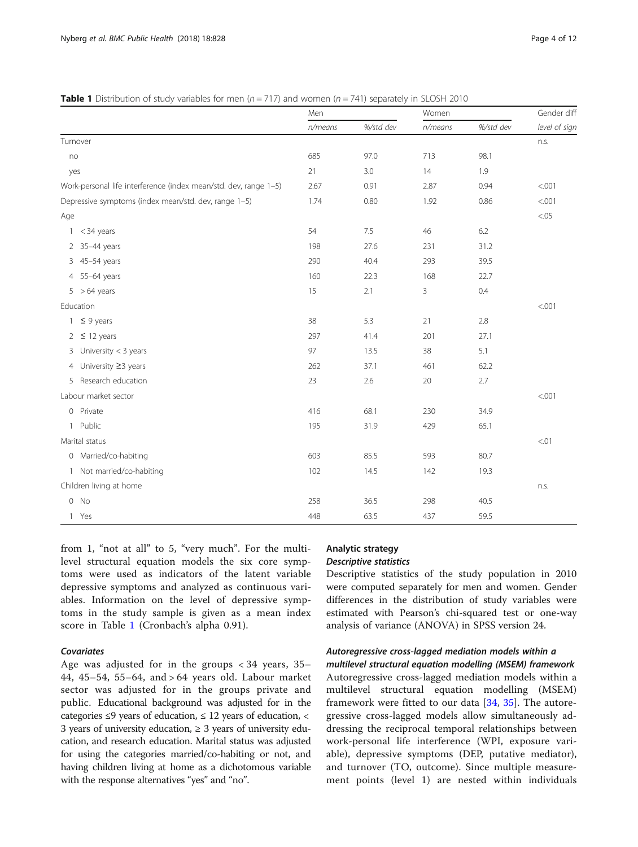<span id="page-3-0"></span>**Table 1** Distribution of study variables for men ( $n = 717$ ) and women ( $n = 741$ ) separately in SLOSH 2010

|                                                                  | Men     |           | Women   |           | Gender diff   |
|------------------------------------------------------------------|---------|-----------|---------|-----------|---------------|
|                                                                  | n/means | %/std dev | n/means | %/std dev | level of sign |
| Turnover                                                         |         |           |         |           | n.s.          |
| no                                                               | 685     | 97.0      | 713     | 98.1      |               |
| yes                                                              | 21      | 3.0       | 14      | 1.9       |               |
| Work-personal life interference (index mean/std. dev, range 1-5) | 2.67    | 0.91      | 2.87    | 0.94      | < .001        |
| Depressive symptoms (index mean/std. dev, range 1-5)             | 1.74    | 0.80      | 1.92    | 0.86      | < .001        |
| Age                                                              |         |           |         |           | < 0.05        |
| < 34 years<br>1                                                  | 54      | 7.5       | 46      | 6.2       |               |
| 2 35-44 years                                                    | 198     | 27.6      | 231     | 31.2      |               |
| 45-54 years<br>3                                                 | 290     | 40.4      | 293     | 39.5      |               |
| 4 55-64 years                                                    | 160     | 22.3      | 168     | 22.7      |               |
| $5 > 64$ years                                                   | 15      | 2.1       | 3       | 0.4       |               |
| Education                                                        |         |           |         |           | < .001        |
| $\leq$ 9 years<br>1.                                             | 38      | 5.3       | 21      | 2.8       |               |
| $2 \leq 12$ years                                                | 297     | 41.4      | 201     | 27.1      |               |
| University $<$ 3 years<br>3                                      | 97      | 13.5      | 38      | 5.1       |               |
| 4 University ≥3 years                                            | 262     | 37.1      | 461     | 62.2      |               |
| Research education<br>5                                          | 23      | 2.6       | 20      | 2.7       |               |
| Labour market sector                                             |         |           |         |           | < .001        |
| 0 Private                                                        | 416     | 68.1      | 230     | 34.9      |               |
| Public<br>$\mathbf{1}$                                           | 195     | 31.9      | 429     | 65.1      |               |
| Marital status                                                   |         |           |         |           | < 01          |
| 0 Married/co-habiting                                            | 603     | 85.5      | 593     | 80.7      |               |
| 1 Not married/co-habiting                                        | 102     | 14.5      | 142     | 19.3      |               |
| Children living at home                                          |         |           |         |           | n.s.          |
| $0$ No                                                           | 258     | 36.5      | 298     | 40.5      |               |
| 1 Yes                                                            | 448     | 63.5      | 437     | 59.5      |               |

from 1, "not at all" to 5, "very much". For the multilevel structural equation models the six core symptoms were used as indicators of the latent variable depressive symptoms and analyzed as continuous variables. Information on the level of depressive symptoms in the study sample is given as a mean index score in Table 1 (Cronbach's alpha 0.91).

## Covariates

Age was adjusted for in the groups < 34 years, 35– 44, 45–54, 55–64, and > 64 years old. Labour market sector was adjusted for in the groups private and public. Educational background was adjusted for in the categories ≤9 years of education,  $≤$  12 years of education,  $<$ 3 years of university education,  $\geq$  3 years of university education, and research education. Marital status was adjusted for using the categories married/co-habiting or not, and having children living at home as a dichotomous variable with the response alternatives "yes" and "no".

## Analytic strategy

## Descriptive statistics

Descriptive statistics of the study population in 2010 were computed separately for men and women. Gender differences in the distribution of study variables were estimated with Pearson's chi-squared test or one-way analysis of variance (ANOVA) in SPSS version 24.

## Autoregressive cross-lagged mediation models within a

multilevel structural equation modelling (MSEM) framework Autoregressive cross-lagged mediation models within a multilevel structural equation modelling (MSEM) framework were fitted to our data [\[34](#page-11-0), [35\]](#page-11-0). The autoregressive cross-lagged models allow simultaneously addressing the reciprocal temporal relationships between work-personal life interference (WPI, exposure variable), depressive symptoms (DEP, putative mediator), and turnover (TO, outcome). Since multiple measurement points (level 1) are nested within individuals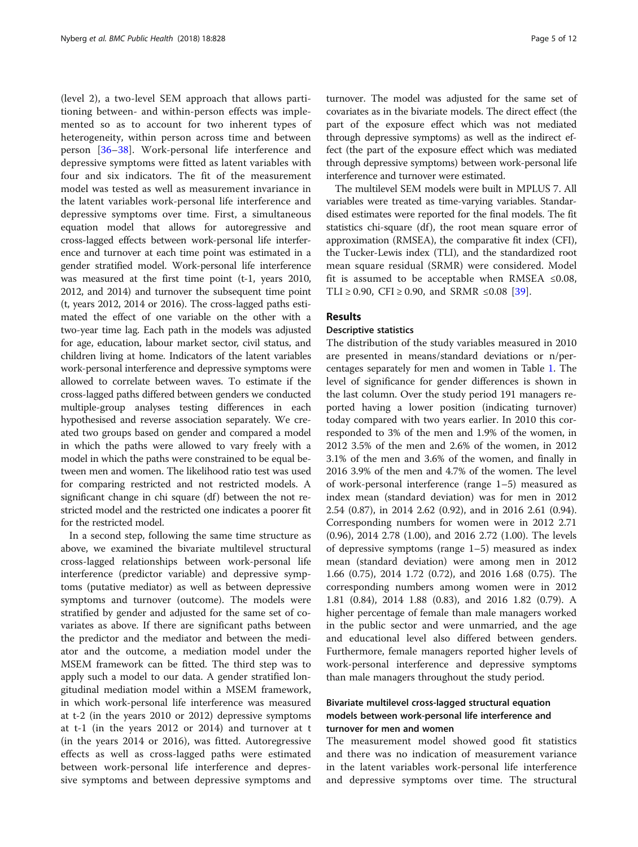(level 2), a two-level SEM approach that allows partitioning between- and within-person effects was implemented so as to account for two inherent types of heterogeneity, within person across time and between person [\[36](#page-11-0)–[38](#page-11-0)]. Work-personal life interference and depressive symptoms were fitted as latent variables with four and six indicators. The fit of the measurement model was tested as well as measurement invariance in the latent variables work-personal life interference and depressive symptoms over time. First, a simultaneous equation model that allows for autoregressive and cross-lagged effects between work-personal life interference and turnover at each time point was estimated in a gender stratified model. Work-personal life interference was measured at the first time point (t-1, years 2010, 2012, and 2014) and turnover the subsequent time point (t, years 2012, 2014 or 2016). The cross-lagged paths estimated the effect of one variable on the other with a two-year time lag. Each path in the models was adjusted for age, education, labour market sector, civil status, and children living at home. Indicators of the latent variables work-personal interference and depressive symptoms were allowed to correlate between waves. To estimate if the cross-lagged paths differed between genders we conducted multiple-group analyses testing differences in each hypothesised and reverse association separately. We created two groups based on gender and compared a model in which the paths were allowed to vary freely with a model in which the paths were constrained to be equal between men and women. The likelihood ratio test was used for comparing restricted and not restricted models. A significant change in chi square (df) between the not restricted model and the restricted one indicates a poorer fit for the restricted model.

In a second step, following the same time structure as above, we examined the bivariate multilevel structural cross-lagged relationships between work-personal life interference (predictor variable) and depressive symptoms (putative mediator) as well as between depressive symptoms and turnover (outcome). The models were stratified by gender and adjusted for the same set of covariates as above. If there are significant paths between the predictor and the mediator and between the mediator and the outcome, a mediation model under the MSEM framework can be fitted. The third step was to apply such a model to our data. A gender stratified longitudinal mediation model within a MSEM framework, in which work-personal life interference was measured at t-2 (in the years 2010 or 2012) depressive symptoms at t-1 (in the years 2012 or 2014) and turnover at t (in the years 2014 or 2016), was fitted. Autoregressive effects as well as cross-lagged paths were estimated between work-personal life interference and depressive symptoms and between depressive symptoms and

turnover. The model was adjusted for the same set of covariates as in the bivariate models. The direct effect (the part of the exposure effect which was not mediated through depressive symptoms) as well as the indirect effect (the part of the exposure effect which was mediated through depressive symptoms) between work-personal life interference and turnover were estimated.

The multilevel SEM models were built in MPLUS 7. All variables were treated as time-varying variables. Standardised estimates were reported for the final models. The fit statistics chi-square (df), the root mean square error of approximation (RMSEA), the comparative fit index (CFI), the Tucker-Lewis index (TLI), and the standardized root mean square residual (SRMR) were considered. Model fit is assumed to be acceptable when RMSEA ≤0.08, TLI ≥ 0.90, CFI ≥ 0.90, and SRMR ≤0.08 [[39\]](#page-11-0).

## Results

## Descriptive statistics

The distribution of the study variables measured in 2010 are presented in means/standard deviations or n/percentages separately for men and women in Table [1.](#page-3-0) The level of significance for gender differences is shown in the last column. Over the study period 191 managers reported having a lower position (indicating turnover) today compared with two years earlier. In 2010 this corresponded to 3% of the men and 1.9% of the women, in 2012 3.5% of the men and 2.6% of the women, in 2012 3.1% of the men and 3.6% of the women, and finally in 2016 3.9% of the men and 4.7% of the women. The level of work-personal interference (range 1–5) measured as index mean (standard deviation) was for men in 2012 2.54 (0.87), in 2014 2.62 (0.92), and in 2016 2.61 (0.94). Corresponding numbers for women were in 2012 2.71 (0.96), 2014 2.78 (1.00), and 2016 2.72 (1.00). The levels of depressive symptoms (range 1–5) measured as index mean (standard deviation) were among men in 2012 1.66 (0.75), 2014 1.72 (0.72), and 2016 1.68 (0.75). The corresponding numbers among women were in 2012 1.81 (0.84), 2014 1.88 (0.83), and 2016 1.82 (0.79). A higher percentage of female than male managers worked in the public sector and were unmarried, and the age and educational level also differed between genders. Furthermore, female managers reported higher levels of work-personal interference and depressive symptoms than male managers throughout the study period.

## Bivariate multilevel cross-lagged structural equation models between work-personal life interference and turnover for men and women

The measurement model showed good fit statistics and there was no indication of measurement variance in the latent variables work-personal life interference and depressive symptoms over time. The structural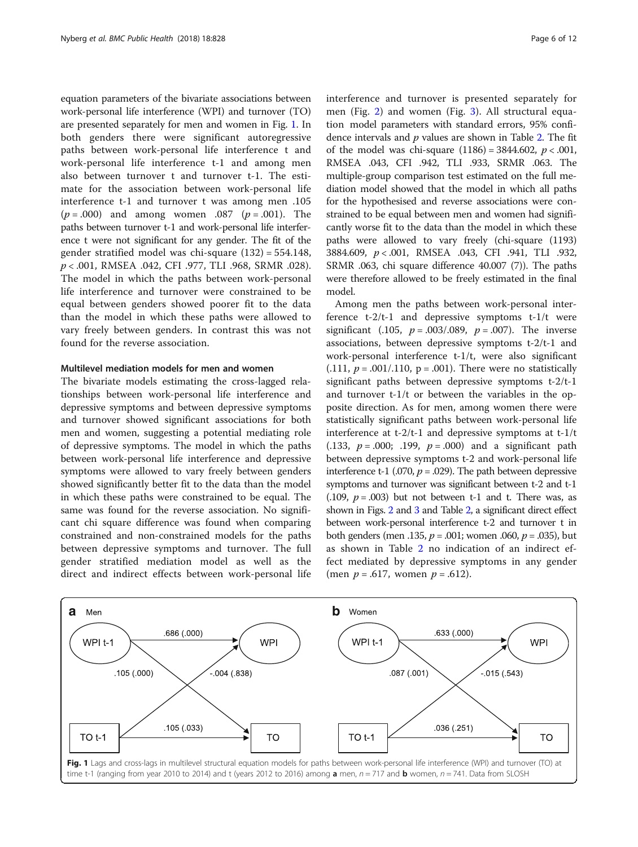equation parameters of the bivariate associations between work-personal life interference (WPI) and turnover (TO) are presented separately for men and women in Fig. 1. In both genders there were significant autoregressive paths between work-personal life interference t and work-personal life interference t-1 and among men also between turnover t and turnover t-1. The estimate for the association between work-personal life interference t-1 and turnover t was among men .105  $(p = .000)$  and among women .087  $(p = .001)$ . The paths between turnover t-1 and work-personal life interference t were not significant for any gender. The fit of the gender stratified model was chi-square (132) = 554.148, p < .001, RMSEA .042, CFI .977, TLI .968, SRMR .028). The model in which the paths between work-personal life interference and turnover were constrained to be equal between genders showed poorer fit to the data than the model in which these paths were allowed to vary freely between genders. In contrast this was not found for the reverse association.

## Multilevel mediation models for men and women

The bivariate models estimating the cross-lagged relationships between work-personal life interference and depressive symptoms and between depressive symptoms and turnover showed significant associations for both men and women, suggesting a potential mediating role of depressive symptoms. The model in which the paths between work-personal life interference and depressive symptoms were allowed to vary freely between genders showed significantly better fit to the data than the model in which these paths were constrained to be equal. The same was found for the reverse association. No significant chi square difference was found when comparing constrained and non-constrained models for the paths between depressive symptoms and turnover. The full gender stratified mediation model as well as the direct and indirect effects between work-personal life interference and turnover is presented separately for men (Fig. [2\)](#page-6-0) and women (Fig. [3](#page-6-0)). All structural equation model parameters with standard errors, 95% confidence intervals and  $p$  values are shown in Table [2](#page-7-0). The fit of the model was chi-square  $(1186) = 3844.602$ ,  $p < .001$ , RMSEA .043, CFI .942, TLI .933, SRMR .063. The multiple-group comparison test estimated on the full mediation model showed that the model in which all paths for the hypothesised and reverse associations were constrained to be equal between men and women had significantly worse fit to the data than the model in which these paths were allowed to vary freely (chi-square (1193) 3884.609, p < .001, RMSEA .043, CFI .941, TLI .932, SRMR .063, chi square difference 40.007 (7)). The paths were therefore allowed to be freely estimated in the final model.

Among men the paths between work-personal interference t-2/t-1 and depressive symptoms t-1/t were significant (.105,  $p = .003/.089$ ,  $p = .007$ ). The inverse associations, between depressive symptoms t-2/t-1 and work-personal interference t-1/t, were also significant  $(0.111, p = 0.001/0.110, p = 0.001)$ . There were no statistically significant paths between depressive symptoms t-2/t-1 and turnover t-1/t or between the variables in the opposite direction. As for men, among women there were statistically significant paths between work-personal life interference at t-2/t-1 and depressive symptoms at t-1/t (.133,  $p = .000$ ; .199,  $p = .000$ ) and a significant path between depressive symptoms t-2 and work-personal life interference t-1 (.070,  $p = .029$ ). The path between depressive symptoms and turnover was significant between t-2 and t-1  $(0.109, p = 0.003)$  but not between t-1 and t. There was, as shown in Figs. [2](#page-6-0) and [3](#page-6-0) and Table [2,](#page-7-0) a significant direct effect between work-personal interference t-2 and turnover t in both genders (men .135,  $p = .001$ ; women .060,  $p = .035$ ), but as shown in Table [2](#page-7-0) no indication of an indirect effect mediated by depressive symptoms in any gender (men  $p = .617$ , women  $p = .612$ ).

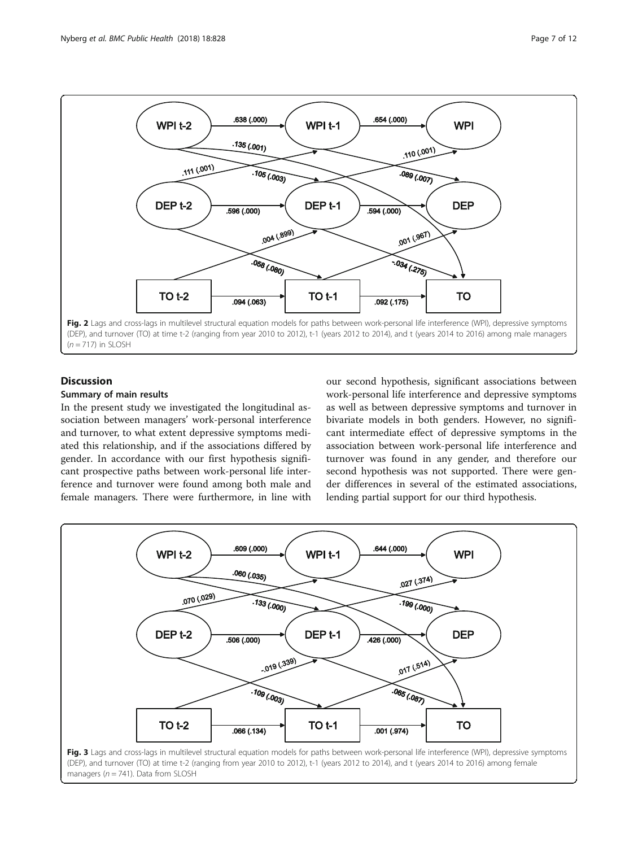<span id="page-6-0"></span>

## **Discussion**

## Summary of main results

In the present study we investigated the longitudinal association between managers' work-personal interference and turnover, to what extent depressive symptoms mediated this relationship, and if the associations differed by gender. In accordance with our first hypothesis significant prospective paths between work-personal life interference and turnover were found among both male and female managers. There were furthermore, in line with

our second hypothesis, significant associations between work-personal life interference and depressive symptoms as well as between depressive symptoms and turnover in bivariate models in both genders. However, no significant intermediate effect of depressive symptoms in the association between work-personal life interference and turnover was found in any gender, and therefore our second hypothesis was not supported. There were gender differences in several of the estimated associations, lending partial support for our third hypothesis.

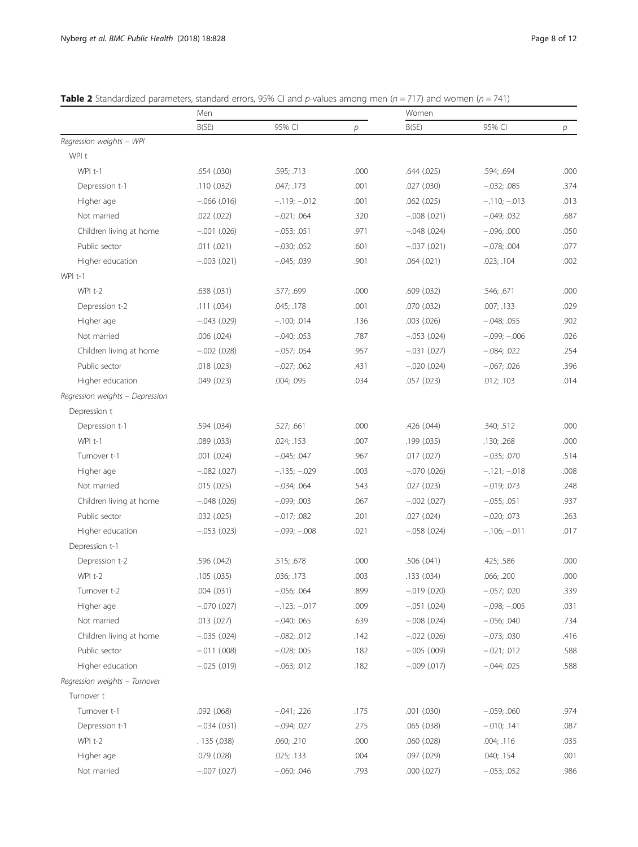|                                 | Men              |                 |      | Women           |                 |      |
|---------------------------------|------------------|-----------------|------|-----------------|-----------------|------|
|                                 | B(SE)            | 95% CI          | р    | B(SE)           | 95% CI          | р    |
| Regression weights - WPI        |                  |                 |      |                 |                 |      |
| WPI t                           |                  |                 |      |                 |                 |      |
| WPI t-1                         | .654(.030)       | .595; .713      | .000 | .644(.025)      | .594; .694      | .000 |
| Depression t-1                  | .110(.032)       | .047; .173      | .001 | .027 (.030)     | $-0.032; 0.085$ | .374 |
| Higher age                      | $-.066(.016)$    | $-.119; -012$   | .001 | $.062$ $(.025)$ | $-.110; -013$   | .013 |
| Not married                     | .022(.022)       | $-.021; .064$   | .320 | $-.008(.021)$   | $-0.049; 0.032$ | .687 |
| Children living at home         | $-.001(.026)$    | $-0.053; 0.051$ | .971 | $-.048(.024)$   | $-.096; .000$   | .050 |
| Public sector                   | .011(.021)       | $-.030; .052$   | .601 | $-.037(.021)$   | $-0.078;004$    | .077 |
| Higher education                | $-.003(.021)$    | $-0.045; 0.039$ | .901 | .064(.021)      | .023; .104      | .002 |
| WPI t-1                         |                  |                 |      |                 |                 |      |
| WPI t-2                         | .638(.031)       | .577; .699      | .000 | .609 (.032)     | .546; .671      | .000 |
| Depression t-2                  | .111(.034)       | .045; .178      | .001 | .070 (.032)     | .007; .133      | .029 |
| Higher age                      | $-.043(.029)$    | $-.100; .014$   | .136 | $.003$ $(.026)$ | $-.048; .055$   | .902 |
| Not married                     | .006(.024)       | $-0.040; 0.053$ | .787 | $-.053(.024)$   | $-.099; -.006$  | .026 |
| Children living at home         | $-.002(.028)$    | $-0.057; 0.054$ | .957 | $-.031(.027)$   | $-.084; .022$   | .254 |
| Public sector                   | .018(.023)       | $-0.027$ ; .062 | .431 | $-.020(.024)$   | $-0.067; 0.026$ | .396 |
| Higher education                | .049(.023)       | .004; .095      | .034 | .057 (.023)     | .012; .103      | .014 |
| Regression weights - Depression |                  |                 |      |                 |                 |      |
| Depression t                    |                  |                 |      |                 |                 |      |
| Depression t-1                  | .594 (.034)      | .527; .661      | .000 | .426 (.044)     | .340; .512      | .000 |
| WPI t-1                         | .089(.033)       | .024; .153      | .007 | .199(.035)      | .130; .268      | .000 |
| Turnover t-1                    | .001(.024)       | $-.045; .047$   | .967 | .017(.027)      | $-.035; .070$   | .514 |
| Higher age                      | $-.082(.027)$    | $-.135; -029$   | .003 | $-.070(.026)$   | $-.121; -018$   | .008 |
| Not married                     | .015(.025)       | $-0.034; 0.064$ | .543 | .027(.023)      | $-0.019; 0.073$ | .248 |
| Children living at home         | $-.048(.026)$    | $-.099; .003$   | .067 | $-.002(.027)$   | $-0.055; 0.051$ | .937 |
| Public sector                   | .032(.025)       | $-.017; .082$   | .201 | .027 (.024)     | $-.020; .073$   | .263 |
| Higher education                | $-.053(.023)$    | $-.099; -008$   | .021 | $-.058(.024)$   | $-.106; -.011$  | .017 |
| Depression t-1                  |                  |                 |      |                 |                 |      |
| Depression t-2                  | .596 (.042)      | .515; .678      | .000 | .506 (.041)     | .425; .586      | .000 |
| WPI t-2                         | .105(.035)       | .036; .173      | .003 | .133 (.034)     | .066; .200      | .000 |
| Turnover t-2                    | .004(.031)       | $-0.056; 0.064$ | .899 | $-.019(.020)$   | $-.057; .020$   | .339 |
| Higher age                      | $-.070(.027)$    | $-.123; -017$   | .009 | $-.051(.024)$   | $-.098; -.005$  | .031 |
| Not married                     | .013(.027)       | $-.040; .065$   | .639 | $-.008(.024)$   | $-.056; .040$   | .734 |
| Children living at home         | $-.035(.024)$    | $-.082; .012$   | .142 | $-.022(.026)$   | $-0.073; 0.030$ | .416 |
| Public sector                   | $-.011$ $(.008)$ | $-0.028; 0.005$ | .182 | $-.005(.009)$   | $-.021; .012$   | .588 |
| Higher education                | $-.025(.019)$    | $-.063; .012$   | .182 | $-.009(.017)$   | $-.044; .025$   | .588 |
| Regression weights - Turnover   |                  |                 |      |                 |                 |      |
| Turnover t                      |                  |                 |      |                 |                 |      |
| Turnover t-1                    | .092(.068)       | $-.041; .226$   | .175 | .001 (.030)     | $-.059; .060$   | .974 |
| Depression t-1                  | $-.034(.031)$    | $-.094; .027$   | .275 | .065 (.038)     | $-.010; .141$   | .087 |
| WPI t-2                         | .135(.038)       | .060; .210      | .000 | .060 (.028)     | .004; .116      | .035 |
| Higher age                      | .079(.028)       | .025; .133      | .004 | .097 (.029)     | .040; .154      | .001 |
| Not married                     | $-.007(.027)$    | $-.060; .046$   | .793 | .000 (.027)     | $-.053; .052$   | .986 |

<span id="page-7-0"></span>**Table 2** Standardized parameters, standard errors, 95% CI and p-values among men ( $n = 717$ ) and women ( $n = 741$ )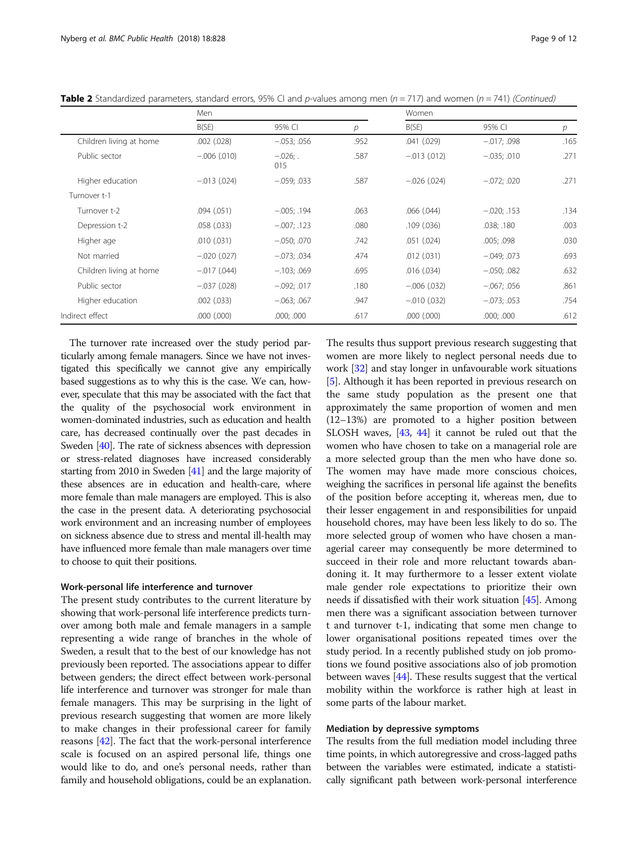|                         | Men             |                   |      | Women           |                 |      |
|-------------------------|-----------------|-------------------|------|-----------------|-----------------|------|
|                         | B(SE)           | 95% CI            | р    | B(SE)           | 95% CI          | р    |
| Children living at home | $.002$ $(.028)$ | $-0.053; 0.056$   | .952 | .041(.029)      | $-.017; .098$   | .165 |
| Public sector           | $-.006(.010)$   | $-.026;$ .<br>015 | .587 | $-.013(.012)$   | $-.035; .010$   | .271 |
| Higher education        | $-.013(.024)$   | $-0.059; 0.033$   | .587 | $-.026(.024)$   | $-.072; .020$   | .271 |
| Turnover t-1            |                 |                   |      |                 |                 |      |
| Turnover t-2            | .094(.051)      | $-0.005; .194$    | .063 | .066(.044)      | $-0.020; .153$  | .134 |
| Depression t-2          | .058(.033)      | $-.007; .123$     | .080 | .109(.036)      | .038; .180      | .003 |
| Higher age              | .010(.031)      | $-.050; .070$     | .742 | .051(.024)      | .005; .098      | .030 |
| Not married             | $-.020(.027)$   | $-0.073; 0.034$   | .474 | .012(.031)      | $-.049; .073$   | .693 |
| Children living at home | $-.017(.044)$   | $-103; .069$      | .695 | .016(.034)      | $-.050; .082$   | .632 |
| Public sector           | $-.037(.028)$   | $-.092; .017$     | .180 | $-.006(.032)$   | $-0.067; 0.056$ | .861 |
| Higher education        | .002(.033)      | $-0.063; 0.067$   | .947 | $-.010(.032)$   | $-0.073; 0.053$ | .754 |
| Indirect effect         | $.000$ $(.000)$ | .000; .000        | .617 | $.000$ $(.000)$ | .000; .000      | .612 |

Table 2 Standardized parameters, standard errors, 95% CI and p-values among men ( $n = 717$ ) and women ( $n = 741$ ) (Continued)

The turnover rate increased over the study period particularly among female managers. Since we have not investigated this specifically we cannot give any empirically based suggestions as to why this is the case. We can, however, speculate that this may be associated with the fact that the quality of the psychosocial work environment in women-dominated industries, such as education and health care, has decreased continually over the past decades in Sweden [[40](#page-11-0)]. The rate of sickness absences with depression or stress-related diagnoses have increased considerably starting from 2010 in Sweden [[41](#page-11-0)] and the large majority of these absences are in education and health-care, where more female than male managers are employed. This is also the case in the present data. A deteriorating psychosocial work environment and an increasing number of employees on sickness absence due to stress and mental ill-health may have influenced more female than male managers over time to choose to quit their positions.

## Work-personal life interference and turnover

The present study contributes to the current literature by showing that work-personal life interference predicts turnover among both male and female managers in a sample representing a wide range of branches in the whole of Sweden, a result that to the best of our knowledge has not previously been reported. The associations appear to differ between genders; the direct effect between work-personal life interference and turnover was stronger for male than female managers. This may be surprising in the light of previous research suggesting that women are more likely to make changes in their professional career for family reasons [\[42\]](#page-11-0). The fact that the work-personal interference scale is focused on an aspired personal life, things one would like to do, and one's personal needs, rather than family and household obligations, could be an explanation.

The results thus support previous research suggesting that women are more likely to neglect personal needs due to work [\[32\]](#page-11-0) and stay longer in unfavourable work situations [[5\]](#page-10-0). Although it has been reported in previous research on the same study population as the present one that approximately the same proportion of women and men (12–13%) are promoted to a higher position between SLOSH waves, [\[43,](#page-11-0) [44\]](#page-11-0) it cannot be ruled out that the women who have chosen to take on a managerial role are a more selected group than the men who have done so. The women may have made more conscious choices, weighing the sacrifices in personal life against the benefits of the position before accepting it, whereas men, due to their lesser engagement in and responsibilities for unpaid household chores, may have been less likely to do so. The more selected group of women who have chosen a managerial career may consequently be more determined to succeed in their role and more reluctant towards abandoning it. It may furthermore to a lesser extent violate male gender role expectations to prioritize their own needs if dissatisfied with their work situation [[45](#page-11-0)]. Among men there was a significant association between turnover t and turnover t-1, indicating that some men change to lower organisational positions repeated times over the study period. In a recently published study on job promotions we found positive associations also of job promotion between waves [\[44\]](#page-11-0). These results suggest that the vertical mobility within the workforce is rather high at least in some parts of the labour market.

## Mediation by depressive symptoms

The results from the full mediation model including three time points, in which autoregressive and cross-lagged paths between the variables were estimated, indicate a statistically significant path between work-personal interference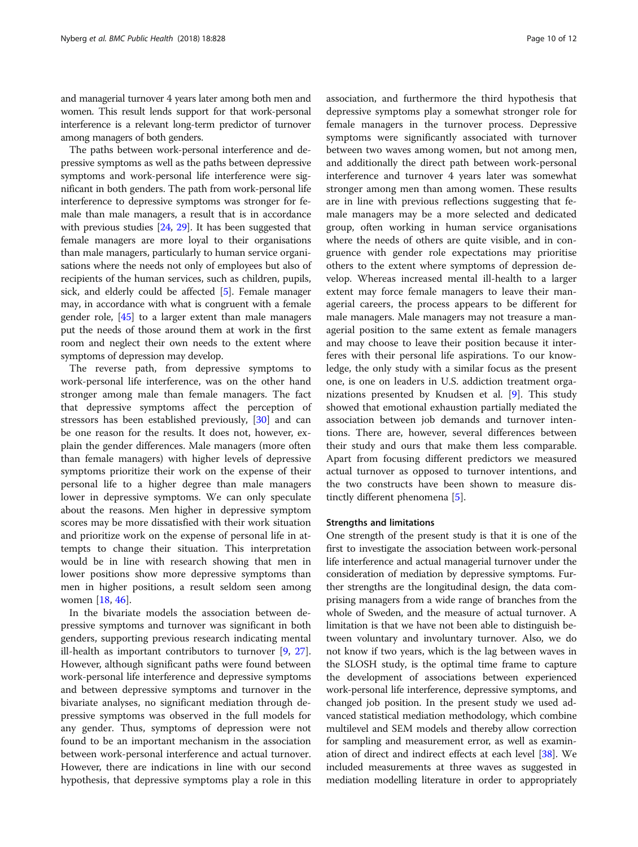and managerial turnover 4 years later among both men and women. This result lends support for that work-personal interference is a relevant long-term predictor of turnover among managers of both genders.

The paths between work-personal interference and depressive symptoms as well as the paths between depressive symptoms and work-personal life interference were significant in both genders. The path from work-personal life interference to depressive symptoms was stronger for female than male managers, a result that is in accordance with previous studies [[24](#page-11-0), [29\]](#page-11-0). It has been suggested that female managers are more loyal to their organisations than male managers, particularly to human service organisations where the needs not only of employees but also of recipients of the human services, such as children, pupils, sick, and elderly could be affected [\[5](#page-10-0)]. Female manager may, in accordance with what is congruent with a female gender role, [[45\]](#page-11-0) to a larger extent than male managers put the needs of those around them at work in the first room and neglect their own needs to the extent where symptoms of depression may develop.

The reverse path, from depressive symptoms to work-personal life interference, was on the other hand stronger among male than female managers. The fact that depressive symptoms affect the perception of stressors has been established previously, [\[30\]](#page-11-0) and can be one reason for the results. It does not, however, explain the gender differences. Male managers (more often than female managers) with higher levels of depressive symptoms prioritize their work on the expense of their personal life to a higher degree than male managers lower in depressive symptoms. We can only speculate about the reasons. Men higher in depressive symptom scores may be more dissatisfied with their work situation and prioritize work on the expense of personal life in attempts to change their situation. This interpretation would be in line with research showing that men in lower positions show more depressive symptoms than men in higher positions, a result seldom seen among women [[18,](#page-10-0) [46](#page-11-0)].

In the bivariate models the association between depressive symptoms and turnover was significant in both genders, supporting previous research indicating mental ill-health as important contributors to turnover [\[9](#page-10-0), [27](#page-11-0)]. However, although significant paths were found between work-personal life interference and depressive symptoms and between depressive symptoms and turnover in the bivariate analyses, no significant mediation through depressive symptoms was observed in the full models for any gender. Thus, symptoms of depression were not found to be an important mechanism in the association between work-personal interference and actual turnover. However, there are indications in line with our second hypothesis, that depressive symptoms play a role in this

association, and furthermore the third hypothesis that depressive symptoms play a somewhat stronger role for female managers in the turnover process. Depressive symptoms were significantly associated with turnover between two waves among women, but not among men, and additionally the direct path between work-personal interference and turnover 4 years later was somewhat stronger among men than among women. These results are in line with previous reflections suggesting that female managers may be a more selected and dedicated group, often working in human service organisations where the needs of others are quite visible, and in congruence with gender role expectations may prioritise others to the extent where symptoms of depression develop. Whereas increased mental ill-health to a larger extent may force female managers to leave their managerial careers, the process appears to be different for male managers. Male managers may not treasure a managerial position to the same extent as female managers and may choose to leave their position because it interferes with their personal life aspirations. To our knowledge, the only study with a similar focus as the present one, is one on leaders in U.S. addiction treatment organizations presented by Knudsen et al. [[9\]](#page-10-0). This study showed that emotional exhaustion partially mediated the association between job demands and turnover intentions. There are, however, several differences between their study and ours that make them less comparable. Apart from focusing different predictors we measured actual turnover as opposed to turnover intentions, and the two constructs have been shown to measure distinctly different phenomena [[5\]](#page-10-0).

### Strengths and limitations

One strength of the present study is that it is one of the first to investigate the association between work-personal life interference and actual managerial turnover under the consideration of mediation by depressive symptoms. Further strengths are the longitudinal design, the data comprising managers from a wide range of branches from the whole of Sweden, and the measure of actual turnover. A limitation is that we have not been able to distinguish between voluntary and involuntary turnover. Also, we do not know if two years, which is the lag between waves in the SLOSH study, is the optimal time frame to capture the development of associations between experienced work-personal life interference, depressive symptoms, and changed job position. In the present study we used advanced statistical mediation methodology, which combine multilevel and SEM models and thereby allow correction for sampling and measurement error, as well as examination of direct and indirect effects at each level [\[38\]](#page-11-0). We included measurements at three waves as suggested in mediation modelling literature in order to appropriately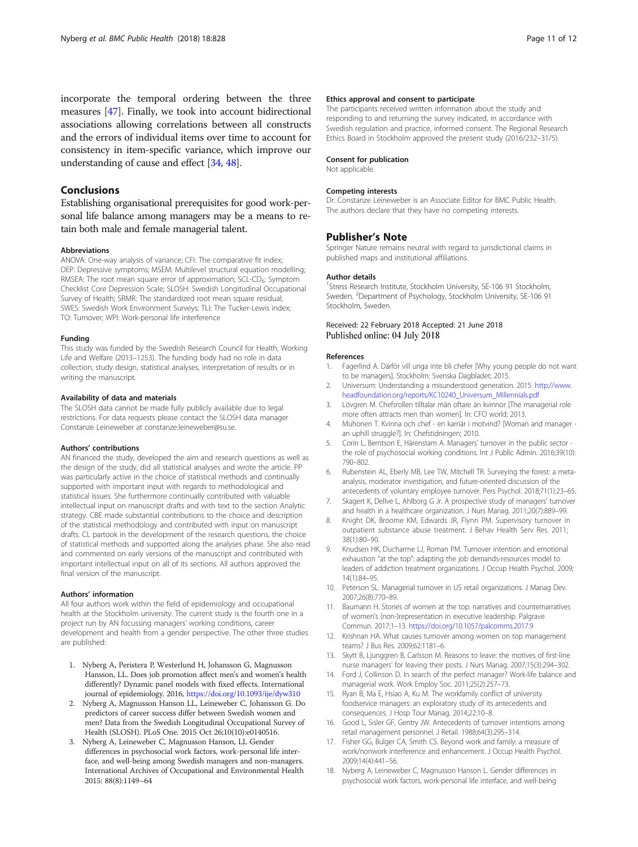## <span id="page-10-0"></span>Conclusions

Establishing organisational prerequisites for good work-personal life balance among managers may be a means to retain both male and female managerial talent.

#### Abbreviations

ANOVA: One-way analysis of variance; CFI: The comparative fit index; DEP: Depressive symptoms; MSEM: Multilevel structural equation modelling; RMSEA: The root mean square error of approximation; SCL-CD<sub>6</sub>: Symptom Checklist Core Depression Scale; SLOSH: Swedish Longitudinal Occupational Survey of Health; SRMR: The standardized root mean square residual; SWES: Swedish Work Environment Surveys; TLI: The Tucker-Lewis index; TO: Turnover; WPI: Work-personal life interference

#### Funding

This study was funded by the Swedish Research Council for Health, Working Life and Welfare (2013–1253). The funding body had no role in data collection, study design, statistical analyses, interpretation of results or in writing the manuscript.

#### Availability of data and materials

The SLOSH data cannot be made fully publicly available due to legal restrictions. For data requests please contact the SLOSH data manager Constanze Leineweber at constanze.leineweber@su.se.

#### Authors' contributions

AN financed the study, developed the aim and research questions as well as the design of the study, did all statistical analyses and wrote the article. PP was particularly active in the choice of statistical methods and continually supported with important input with regards to methodological and statistical issues. She furthermore continually contributed with valuable intellectual input on manuscript drafts and with text to the section Analytic strategy. CBE made substantial contributions to the choice and description of the statistical methodology and contributed with input on manuscript drafts. CL partook in the development of the research questions, the choice of statistical methods and supported along the analyses phase. She also read and commented on early versions of the manuscript and contributed with important intellectual input on all of its sections. All authors approved the final version of the manuscript.

#### Authors' information

All four authors work within the field of epidemiology and occupational health at the Stockholm university. The current study is the fourth one in a project run by AN focussing managers' working conditions, career development and health from a gender perspective. The other three studies are published:

- 1. Nyberg A, Peristera P, Westerlund H, Johansson G, Magnusson Hansson, LL. Does job promotion affect men's and women's health differently? Dynamic panel models with fixed effects. International journal of epidemiology. 2016, <https://doi.org/10.1093/ije/dyw310>
- 2. Nyberg A, Magnusson Hanson LL, Leineweber C, Johansson G. Do predictors of career success differ between Swedish women and men? Data from the Swedish Longitudinal Occupational Survey of Health (SLOSH). PLoS One. 2015 Oct 26;10(10):e0140516.
- 3. Nyberg A, Leineweber C, Magnusson Hanson, LL Gender differences in psychosocial work factors, work-personal life interface, and well-being among Swedish managers and non-managers. International Archives of Occupational and Environmental Health 2015: 88(8):1149–64

#### Ethics approval and consent to participate

The participants received written information about the study and responding to and returning the survey indicated, in accordance with Swedish regulation and practice, informed consent. The Regional Research Ethics Board in Stockholm approved the present study (2016/232–31/5).

#### Consent for publication

Not applicable.

#### Competing interests

Dr. Constanze Leineweber is an Associate Editor for BMC Public Health. The authors declare that they have no competing interests.

## Publisher's Note

Springer Nature remains neutral with regard to jurisdictional claims in published maps and institutional affiliations.

#### Author details

<sup>1</sup>Stress Research Institute, Stockholm University, SE-106 91 Stockholm, Sweden. <sup>2</sup>Department of Psychology, Stockholm University, SE-106 91 Stockholm, Sweden.

#### Received: 22 February 2018 Accepted: 21 June 2018 Published online: 04 July 2018

#### References

- Fagerlind A. Därför vill unga inte bli chefer [Why young people do not want to be managers]. Stockholm: Svenska Dagbladet; 2015.
- 2. Universum: Understanding a misunderstood generation. 2015. [http://www.](http://www.headfoundation.org/reports/KC10240_Universum_Millennials.pdf) headfoundation.org/reports/KC10240\_Universum\_Millennials.pd
- 3. Lövgren M. Chefsrollen tilltalar män oftare än kvinnor [The managerial role more often attracts men than women]. In: CFO world; 2013.
- 4. Muhonen T. Kvinna och chef en karriär i motvind? [Woman and manager an uphill struggle?]. In: Chefstidningen; 2010.
- 5. Corin L, Berntson E, Härenstam A. Managers' turnover in the public sector the role of psychosocial working conditions. Int J Public Admin. 2016;39(10): 790–802.
- 6. Rubenstein AL, Eberly MB, Lee TW, Mitchell TR. Surveying the forest: a metaanalysis, moderator investigation, and future-oriented discussion of the antecedents of voluntary employee turnover. Pers Psychol. 2018;71(1):23–65.
- 7. Skagert K, Dellve L, Ahlborg G Jr. A prospective study of managers' turnover and health in a healthcare organization. J Nurs Manag. 2011;20(7):889–99.
- 8. Knight DK, Broome KM, Edwards JR, Flynn PM. Supervisory turnover in outpatient substance abuse treatment. J Behav Health Serv Res. 2011; 38(1):80–90.
- 9. Knudsen HK, Ducharme LJ, Roman PM. Turnover intention and emotional exhaustion "at the top": adapting the job demands-resources model to leaders of addiction treatment organizations. J Occup Health Psychol. 2009; 14(1):84–95.
- 10. Peterson SL. Managerial turnover in US retail organizations. J Manag Dev. 2007;26(8):770–89.
- 11. Baumann H. Stories of women at the top: narratives and counternarratives of women's (non-)representation in executive leadership. Palgrave Commun. 2017;1–13. <https://doi.org/10.1057/palcomms.2017.9>
- 12. Krishnan HA. What causes turnover among women on top management teams? J Bus Res. 2009;62:1181–6.
- 13. Skytt B, Ljunggren B, Carlsson M. Reasons to leave: the motives of first-line nurse managers' for leaving their posts. J Nurs Manag. 2007;15(3):294–302.
- 14. Ford J, Collinson D. In search of the perfect manager? Work-life balance and managerial work. Work Employ Soc. 2011;25(2):257–73.
- 15. Ryan B, Ma E, Hsiao A, Ku M. The workfamily conflict of university foodservice managers: an exploratory study of its antecedents and consequences. J Hosp Tour Manag. 2014;22:10–8.
- 16. Good L, Sisler GF, Gentry JW. Antecedents of turnover intentions among retail management personnel. J Retail. 1988;64(3):295–314.
- 17. Fisher GG, Bulger CA, Smith CS. Beyond work and family: a measure of work/nonwork interference and enhancement. J Occup Health Psychol. 2009;14(4):441–56.
- 18. Nyberg A, Leineweber C, Magnusson Hanson L. Gender differences in psychosocial work factors, work-personal life interface, and well-being